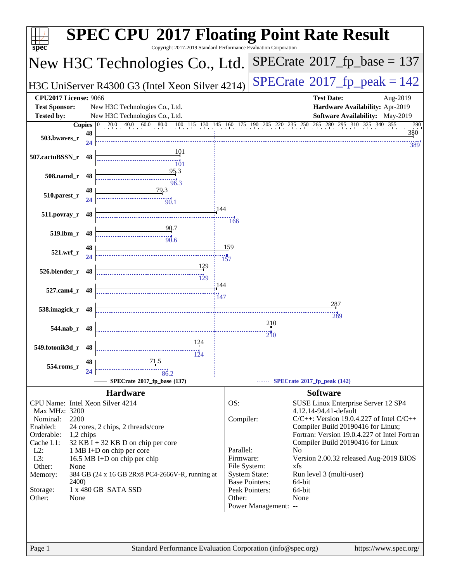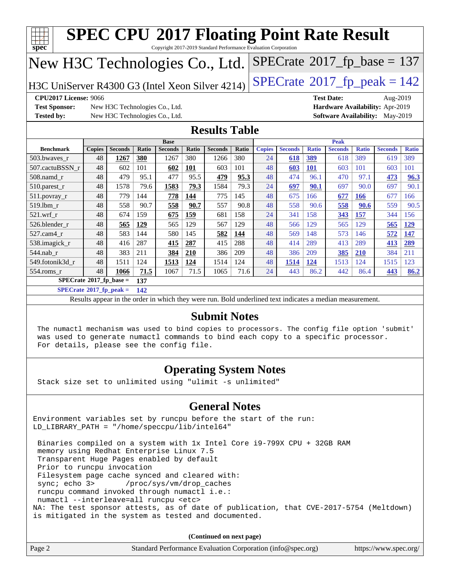| <b>SPEC CPU®2017 Floating Point Rate Result</b>                                                                                                                                                                              |                                                                   |                                                                                                          |            |                |              |                        |              |                     |                |                          |                |              |                                            |              |
|------------------------------------------------------------------------------------------------------------------------------------------------------------------------------------------------------------------------------|-------------------------------------------------------------------|----------------------------------------------------------------------------------------------------------|------------|----------------|--------------|------------------------|--------------|---------------------|----------------|--------------------------|----------------|--------------|--------------------------------------------|--------------|
| Copyright 2017-2019 Standard Performance Evaluation Corporation<br>$\mathbf{Spec}^*$                                                                                                                                         |                                                                   |                                                                                                          |            |                |              |                        |              |                     |                |                          |                |              |                                            |              |
| New H3C Technologies Co., Ltd.                                                                                                                                                                                               |                                                                   |                                                                                                          |            |                |              |                        |              |                     |                |                          |                |              | $SPECrate$ <sup>®</sup> 2017_fp_base = 137 |              |
| $SPECrate^{\circledcirc}2017_fp\_peak = 142$<br>H3C UniServer R4300 G3 (Intel Xeon Silver 4214)                                                                                                                              |                                                                   |                                                                                                          |            |                |              |                        |              |                     |                |                          |                |              |                                            |              |
| CPU2017 License: 9066<br><b>Test Date:</b><br>Aug-2019                                                                                                                                                                       |                                                                   |                                                                                                          |            |                |              |                        |              |                     |                |                          |                |              |                                            |              |
| <b>Test Sponsor:</b>                                                                                                                                                                                                         | Hardware Availability: Apr-2019<br>New H3C Technologies Co., Ltd. |                                                                                                          |            |                |              |                        |              |                     |                |                          |                |              |                                            |              |
| <b>Tested by:</b>                                                                                                                                                                                                            |                                                                   | New H3C Technologies Co., Ltd.                                                                           |            |                |              |                        |              |                     |                |                          |                |              | <b>Software Availability:</b> May-2019     |              |
|                                                                                                                                                                                                                              |                                                                   |                                                                                                          |            |                |              | <b>Results Table</b>   |              |                     |                |                          |                |              |                                            |              |
|                                                                                                                                                                                                                              |                                                                   |                                                                                                          |            | <b>Base</b>    |              |                        |              |                     |                |                          | <b>Peak</b>    |              |                                            |              |
| <b>Benchmark</b>                                                                                                                                                                                                             | <b>Copies</b><br>48                                               | <b>Seconds</b>                                                                                           | Ratio      | <b>Seconds</b> | Ratio<br>380 | <b>Seconds</b><br>1266 | Ratio<br>380 | <b>Copies</b><br>24 | <b>Seconds</b> | <b>Ratio</b>             | <b>Seconds</b> | <b>Ratio</b> | <b>Seconds</b>                             | <b>Ratio</b> |
| 503.bwaves_r<br>507.cactuBSSN r                                                                                                                                                                                              | 48                                                                | 1267<br>602                                                                                              | 380<br>101 | 1267<br>602    | 101          | 603                    | 101          | 48                  | 618            | <b>389</b><br><b>101</b> | 618<br>603     | 389<br>101   | 619<br>603                                 | 389<br>101   |
| $508$ .namd $r$                                                                                                                                                                                                              | 48                                                                | 479                                                                                                      | 95.1       | 477            | 95.5         | 479                    | 95.3         | 48                  | 603<br>474     | 96.1                     | 470            | 97.1         | 473                                        | 96.3         |
| 510.parest_r                                                                                                                                                                                                                 | 48                                                                | 1578                                                                                                     | 79.6       | 1583           | 79.3         | 1584                   | 79.3         | 24                  | 697            | 90.1                     | 697            | 90.0         | 697                                        | 90.1         |
| 511.povray_r                                                                                                                                                                                                                 | 48                                                                | 779                                                                                                      | 144        | 778            | 144          | 775                    | 145          | 48                  | 675            | 166                      | 677            | <b>166</b>   | 677                                        | 166          |
| 519.lbm_r                                                                                                                                                                                                                    | 48                                                                | 558                                                                                                      | 90.7       | 558            | 90.7         | 557                    | 90.8         | 48                  | 558            | 90.6                     | 558            | 90.6         | 559                                        | 90.5         |
| $521.wrf_r$                                                                                                                                                                                                                  | 48                                                                | 674                                                                                                      | 159        | 675            | 159          | 681                    | 158          | 24                  | 341            | 158                      | 343            | 157          | 344                                        | 156          |
| 526.blender r                                                                                                                                                                                                                | 48                                                                | 565                                                                                                      | 129        | 565            | 129          | 567                    | 129          | 48                  | 566            | 129                      | 565            | 129          | 565                                        | 129          |
| 527.cam4 r                                                                                                                                                                                                                   | 48                                                                | 583                                                                                                      | 144        | 580            | 145          | 582                    | <u>144</u>   | 48                  | 569            | 148                      | 573            | 146          | 572                                        | 147          |
| 538.imagick_r                                                                                                                                                                                                                | 48                                                                | 416                                                                                                      | 287        | 415            | 287          | 415                    | 288          | 48                  | 414            | 289                      | 413            | 289          | 413                                        | 289          |
| 544.nab_r                                                                                                                                                                                                                    | 48                                                                | 383                                                                                                      | 211        | 384            | 210          | 386                    | 209          | 48                  | 386            | 209                      | 385            | <b>210</b>   | 384                                        | 211          |
| 549.fotonik3d_r                                                                                                                                                                                                              | 48                                                                | 1511                                                                                                     | 124        | 1513           | 124          | 1514                   | 124          | 48                  | 1514           | 124                      | 1513           | 124          | 1515                                       | 123          |
| $554$ .roms r                                                                                                                                                                                                                | 48                                                                | 1066                                                                                                     | 71.5       | 1067           | 71.5         | 1065                   | 71.6         | 24                  | 443            | 86.2                     | 442            | 86.4         | 443                                        | 86.2         |
| $SPECrate^{\circ}2017$ _fp_base =                                                                                                                                                                                            |                                                                   |                                                                                                          | 137        |                |              |                        |              |                     |                |                          |                |              |                                            |              |
| $SPECrate$ <sup>®</sup> 2017_fp_peak =                                                                                                                                                                                       |                                                                   |                                                                                                          | 142        |                |              |                        |              |                     |                |                          |                |              |                                            |              |
|                                                                                                                                                                                                                              |                                                                   | Results appear in the order in which they were run. Bold underlined text indicates a median measurement. |            |                |              |                        |              |                     |                |                          |                |              |                                            |              |
| <b>Submit Notes</b>                                                                                                                                                                                                          |                                                                   |                                                                                                          |            |                |              |                        |              |                     |                |                          |                |              |                                            |              |
| The numactl mechanism was used to bind copies to processors. The config file option 'submit'<br>was used to generate numactl commands to bind each copy to a specific processor.<br>For details, please see the config file. |                                                                   |                                                                                                          |            |                |              |                        |              |                     |                |                          |                |              |                                            |              |
| <b>Operating System Notes</b><br>Stack size set to unlimited using "ulimit -s unlimited"                                                                                                                                     |                                                                   |                                                                                                          |            |                |              |                        |              |                     |                |                          |                |              |                                            |              |

#### **[General Notes](http://www.spec.org/auto/cpu2017/Docs/result-fields.html#GeneralNotes)**

Environment variables set by runcpu before the start of the run: LD\_LIBRARY\_PATH = "/home/speccpu/lib/intel64"

 Binaries compiled on a system with 1x Intel Core i9-799X CPU + 32GB RAM memory using Redhat Enterprise Linux 7.5 Transparent Huge Pages enabled by default Prior to runcpu invocation Filesystem page cache synced and cleared with: sync; echo 3> /proc/sys/vm/drop\_caches runcpu command invoked through numactl i.e.: numactl --interleave=all runcpu <etc> NA: The test sponsor attests, as of date of publication, that CVE-2017-5754 (Meltdown) is mitigated in the system as tested and documented.

**(Continued on next page)**

| Page 2 | Standard Performance Evaluation Corporation (info@spec.org) | https://www.spec.org/ |
|--------|-------------------------------------------------------------|-----------------------|
|--------|-------------------------------------------------------------|-----------------------|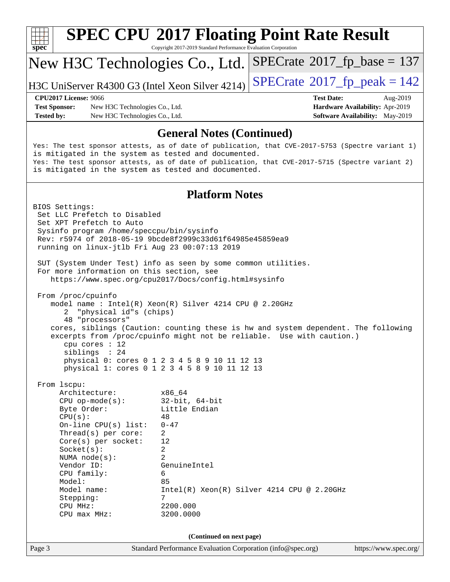| S<br>Dе |  |  |  |  |  |  |
|---------|--|--|--|--|--|--|

# **[SPEC CPU](http://www.spec.org/auto/cpu2017/Docs/result-fields.html#SPECCPU2017FloatingPointRateResult)[2017 Floating Point Rate Result](http://www.spec.org/auto/cpu2017/Docs/result-fields.html#SPECCPU2017FloatingPointRateResult)**

Copyright 2017-2019 Standard Performance Evaluation Corporation

## New H3C Technologies Co., Ltd.

H3C UniServer R4300 G3 (Intel Xeon Silver 4214) [SPECrate](http://www.spec.org/auto/cpu2017/Docs/result-fields.html#SPECrate2017fppeak)®  $2017$  fp peak = 142

 $SPECTate@2017_fp\_base = 137$ 

#### **[CPU2017 License:](http://www.spec.org/auto/cpu2017/Docs/result-fields.html#CPU2017License)** 9066 **[Test Date:](http://www.spec.org/auto/cpu2017/Docs/result-fields.html#TestDate)** Aug-2019

**[Test Sponsor:](http://www.spec.org/auto/cpu2017/Docs/result-fields.html#TestSponsor)** New H3C Technologies Co., Ltd. **[Hardware Availability:](http://www.spec.org/auto/cpu2017/Docs/result-fields.html#HardwareAvailability)** Apr-2019 **[Tested by:](http://www.spec.org/auto/cpu2017/Docs/result-fields.html#Testedby)** New H3C Technologies Co., Ltd. **[Software Availability:](http://www.spec.org/auto/cpu2017/Docs/result-fields.html#SoftwareAvailability)** May-2019

#### **[General Notes \(Continued\)](http://www.spec.org/auto/cpu2017/Docs/result-fields.html#GeneralNotes)**

Yes: The test sponsor attests, as of date of publication, that CVE-2017-5753 (Spectre variant 1) is mitigated in the system as tested and documented. Yes: The test sponsor attests, as of date of publication, that CVE-2017-5715 (Spectre variant 2) is mitigated in the system as tested and documented.

#### **[Platform Notes](http://www.spec.org/auto/cpu2017/Docs/result-fields.html#PlatformNotes)**

Page 3 Standard Performance Evaluation Corporation [\(info@spec.org\)](mailto:info@spec.org) <https://www.spec.org/> BIOS Settings: Set LLC Prefetch to Disabled Set XPT Prefetch to Auto Sysinfo program /home/speccpu/bin/sysinfo Rev: r5974 of 2018-05-19 9bcde8f2999c33d61f64985e45859ea9 running on linux-jtlb Fri Aug 23 00:07:13 2019 SUT (System Under Test) info as seen by some common utilities. For more information on this section, see <https://www.spec.org/cpu2017/Docs/config.html#sysinfo> From /proc/cpuinfo model name : Intel(R) Xeon(R) Silver 4214 CPU @ 2.20GHz 2 "physical id"s (chips) 48 "processors" cores, siblings (Caution: counting these is hw and system dependent. The following excerpts from /proc/cpuinfo might not be reliable. Use with caution.) cpu cores : 12 siblings : 24 physical 0: cores 0 1 2 3 4 5 8 9 10 11 12 13 physical 1: cores 0 1 2 3 4 5 8 9 10 11 12 13 From lscpu: Architecture: x86\_64 CPU op-mode(s): 32-bit, 64-bit Byte Order: Little Endian  $CPU(s):$  48 On-line CPU(s) list: 0-47 Thread(s) per core: 2 Core(s) per socket: 12 Socket(s): 2 NUMA node(s): 2 Vendor ID: GenuineIntel CPU family: 6 Model: 85 Model name: Intel(R) Xeon(R) Silver 4214 CPU @ 2.20GHz Stepping: 7 CPU MHz: 2200.000 CPU max MHz: 3200.0000 **(Continued on next page)**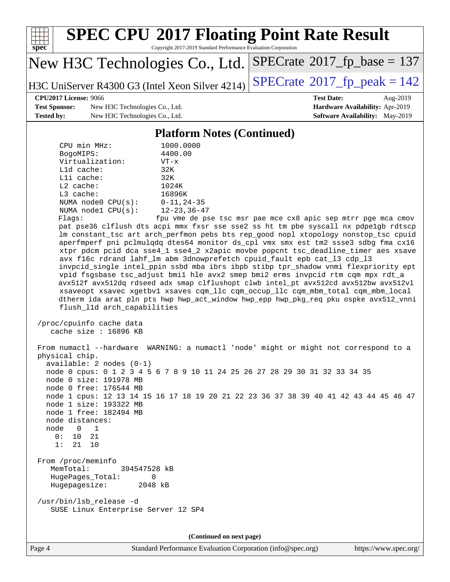

Page 4 Standard Performance Evaluation Corporation [\(info@spec.org\)](mailto:info@spec.org) <https://www.spec.org/>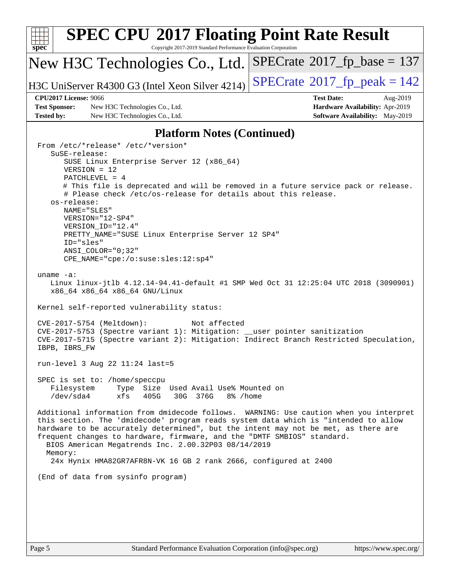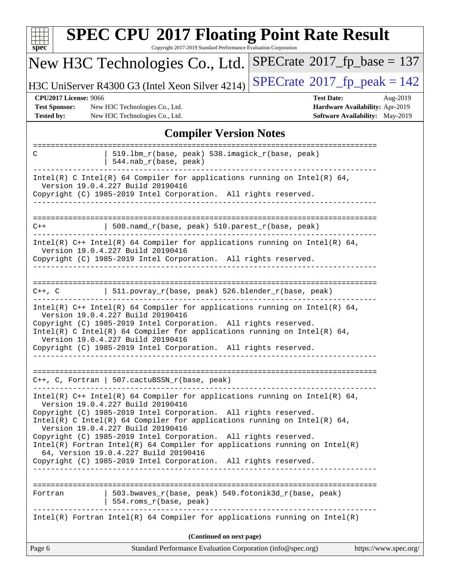| <b>SPEC CPU®2017 Floating Point Rate Result</b><br>spec <sup>®</sup><br>Copyright 2017-2019 Standard Performance Evaluation Corporation                                                                                                                                                                                                                                                                                                                                                                                                                            |                                                                                                     |  |  |  |  |
|--------------------------------------------------------------------------------------------------------------------------------------------------------------------------------------------------------------------------------------------------------------------------------------------------------------------------------------------------------------------------------------------------------------------------------------------------------------------------------------------------------------------------------------------------------------------|-----------------------------------------------------------------------------------------------------|--|--|--|--|
| New H3C Technologies Co., Ltd.                                                                                                                                                                                                                                                                                                                                                                                                                                                                                                                                     | $SPECrate^{\circ}2017_fp\_base = 137$                                                               |  |  |  |  |
| H3C UniServer R4300 G3 (Intel Xeon Silver 4214)                                                                                                                                                                                                                                                                                                                                                                                                                                                                                                                    | $SPECTate@2017fr peak = 142$                                                                        |  |  |  |  |
| <b>CPU2017 License: 9066</b><br><b>Test Sponsor:</b><br>New H3C Technologies Co., Ltd.<br><b>Tested by:</b><br>New H3C Technologies Co., Ltd.                                                                                                                                                                                                                                                                                                                                                                                                                      | <b>Test Date:</b><br>Aug-2019<br>Hardware Availability: Apr-2019<br>Software Availability: May-2019 |  |  |  |  |
| <b>Compiler Version Notes</b>                                                                                                                                                                                                                                                                                                                                                                                                                                                                                                                                      |                                                                                                     |  |  |  |  |
| 519.1bm_r(base, peak) 538.imagick_r(base, peak)<br>C<br>544.nab_r(base, peak)                                                                                                                                                                                                                                                                                                                                                                                                                                                                                      |                                                                                                     |  |  |  |  |
| Intel(R) C Intel(R) 64 Compiler for applications running on Intel(R) 64,<br>Version 19.0.4.227 Build 20190416<br>Copyright (C) 1985-2019 Intel Corporation. All rights reserved.                                                                                                                                                                                                                                                                                                                                                                                   |                                                                                                     |  |  |  |  |
| 508.namd_r(base, peak) 510.parest_r(base, peak)<br>$C++$                                                                                                                                                                                                                                                                                                                                                                                                                                                                                                           |                                                                                                     |  |  |  |  |
| Intel(R) $C++$ Intel(R) 64 Compiler for applications running on Intel(R) 64,<br>Version 19.0.4.227 Build 20190416<br>Copyright (C) 1985-2019 Intel Corporation. All rights reserved.                                                                                                                                                                                                                                                                                                                                                                               |                                                                                                     |  |  |  |  |
| C++, C $ 511.povray_r(base, peak) 526.blender_r(base, peak)$                                                                                                                                                                                                                                                                                                                                                                                                                                                                                                       |                                                                                                     |  |  |  |  |
| Intel(R) C++ Intel(R) 64 Compiler for applications running on Intel(R) 64,<br>Version 19.0.4.227 Build 20190416<br>Copyright (C) 1985-2019 Intel Corporation. All rights reserved.<br>Intel(R) C Intel(R) 64 Compiler for applications running on Intel(R) 64,<br>Version 19.0.4.227 Build 20190416<br>Copyright (C) 1985-2019 Intel Corporation. All rights reserved.                                                                                                                                                                                             |                                                                                                     |  |  |  |  |
| C++, C, Fortran   507.cactuBSSN_r(base, peak)                                                                                                                                                                                                                                                                                                                                                                                                                                                                                                                      |                                                                                                     |  |  |  |  |
| Intel(R) C++ Intel(R) 64 Compiler for applications running on Intel(R) 64,<br>Version 19.0.4.227 Build 20190416<br>Copyright (C) 1985-2019 Intel Corporation. All rights reserved.<br>Intel(R) C Intel(R) 64 Compiler for applications running on Intel(R) 64,<br>Version 19.0.4.227 Build 20190416<br>Copyright (C) 1985-2019 Intel Corporation. All rights reserved.<br>$Intel(R)$ Fortran Intel(R) 64 Compiler for applications running on Intel(R)<br>64, Version 19.0.4.227 Build 20190416<br>Copyright (C) 1985-2019 Intel Corporation. All rights reserved. |                                                                                                     |  |  |  |  |
| 503.bwaves_r(base, peak) 549.fotonik3d_r(base, peak)<br>Fortran<br>554.roms_r(base, peak)                                                                                                                                                                                                                                                                                                                                                                                                                                                                          |                                                                                                     |  |  |  |  |
| $Intel(R)$ Fortran Intel(R) 64 Compiler for applications running on Intel(R)                                                                                                                                                                                                                                                                                                                                                                                                                                                                                       |                                                                                                     |  |  |  |  |
| (Continued on next page)<br>Page 6<br>Standard Performance Evaluation Corporation (info@spec.org)                                                                                                                                                                                                                                                                                                                                                                                                                                                                  | https://www.spec.org/                                                                               |  |  |  |  |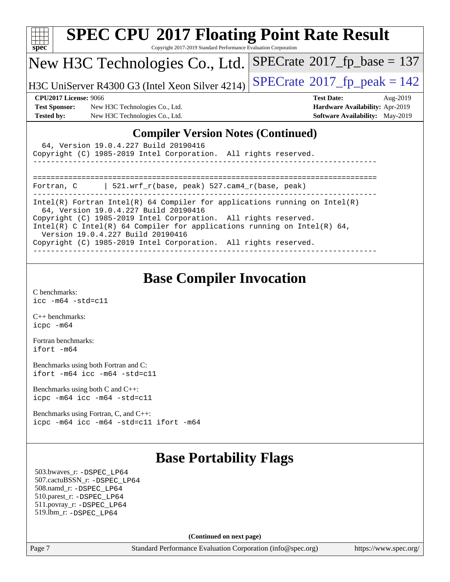| <b>SPEC CPU®2017 Floating Point Rate Result</b><br>$spec^*$<br>Copyright 2017-2019 Standard Performance Evaluation Corporation |                                      |  |  |  |  |  |
|--------------------------------------------------------------------------------------------------------------------------------|--------------------------------------|--|--|--|--|--|
| New H3C Technologies Co., Ltd.                                                                                                 | $SPECrate^{\circ}2017$ fp base = 137 |  |  |  |  |  |
| H3C UniServer R4300 G3 (Intel Xeon Silver 4214)                                                                                | $SPECTate@2017_fp\_peak = 142$       |  |  |  |  |  |
| <b>CPU2017 License: 9066</b>                                                                                                   | <b>Test Date:</b><br>Aug-2019        |  |  |  |  |  |
| <b>Test Sponsor:</b><br>New H3C Technologies Co., Ltd.                                                                         | Hardware Availability: Apr-2019      |  |  |  |  |  |
| <b>Tested by:</b><br>New H3C Technologies Co., Ltd.                                                                            | Software Availability: May-2019      |  |  |  |  |  |
| <b>Compiler Version Notes (Continued)</b>                                                                                      |                                      |  |  |  |  |  |
| 64, Version 19.0.4.227 Build 20190416                                                                                          |                                      |  |  |  |  |  |
| Copyright (C) 1985-2019 Intel Corporation. All rights reserved.                                                                |                                      |  |  |  |  |  |
|                                                                                                                                |                                      |  |  |  |  |  |
| 521.wrf_r(base, peak) 527.cam4_r(base, peak)<br>Fortran, C                                                                     |                                      |  |  |  |  |  |
| $Intel(R)$ Fortran Intel(R) 64 Compiler for applications running on Intel(R)                                                   |                                      |  |  |  |  |  |

64, Version 19.0.4.227 Build 20190416

Copyright (C) 1985-2019 Intel Corporation. All rights reserved. Intel(R) C Intel(R) 64 Compiler for applications running on Intel(R) 64, Version 19.0.4.227 Build 20190416

------------------------------------------------------------------------------

Copyright (C) 1985-2019 Intel Corporation. All rights reserved.

## **[Base Compiler Invocation](http://www.spec.org/auto/cpu2017/Docs/result-fields.html#BaseCompilerInvocation)**

[C benchmarks](http://www.spec.org/auto/cpu2017/Docs/result-fields.html#Cbenchmarks): [icc -m64 -std=c11](http://www.spec.org/cpu2017/results/res2019q3/cpu2017-20190823-17224.flags.html#user_CCbase_intel_icc_64bit_c11_33ee0cdaae7deeeab2a9725423ba97205ce30f63b9926c2519791662299b76a0318f32ddfffdc46587804de3178b4f9328c46fa7c2b0cd779d7a61945c91cd35)

[C++ benchmarks:](http://www.spec.org/auto/cpu2017/Docs/result-fields.html#CXXbenchmarks) [icpc -m64](http://www.spec.org/cpu2017/results/res2019q3/cpu2017-20190823-17224.flags.html#user_CXXbase_intel_icpc_64bit_4ecb2543ae3f1412ef961e0650ca070fec7b7afdcd6ed48761b84423119d1bf6bdf5cad15b44d48e7256388bc77273b966e5eb805aefd121eb22e9299b2ec9d9)

[Fortran benchmarks](http://www.spec.org/auto/cpu2017/Docs/result-fields.html#Fortranbenchmarks): [ifort -m64](http://www.spec.org/cpu2017/results/res2019q3/cpu2017-20190823-17224.flags.html#user_FCbase_intel_ifort_64bit_24f2bb282fbaeffd6157abe4f878425411749daecae9a33200eee2bee2fe76f3b89351d69a8130dd5949958ce389cf37ff59a95e7a40d588e8d3a57e0c3fd751)

[Benchmarks using both Fortran and C](http://www.spec.org/auto/cpu2017/Docs/result-fields.html#BenchmarksusingbothFortranandC): [ifort -m64](http://www.spec.org/cpu2017/results/res2019q3/cpu2017-20190823-17224.flags.html#user_CC_FCbase_intel_ifort_64bit_24f2bb282fbaeffd6157abe4f878425411749daecae9a33200eee2bee2fe76f3b89351d69a8130dd5949958ce389cf37ff59a95e7a40d588e8d3a57e0c3fd751) [icc -m64 -std=c11](http://www.spec.org/cpu2017/results/res2019q3/cpu2017-20190823-17224.flags.html#user_CC_FCbase_intel_icc_64bit_c11_33ee0cdaae7deeeab2a9725423ba97205ce30f63b9926c2519791662299b76a0318f32ddfffdc46587804de3178b4f9328c46fa7c2b0cd779d7a61945c91cd35)

[Benchmarks using both C and C++](http://www.spec.org/auto/cpu2017/Docs/result-fields.html#BenchmarksusingbothCandCXX): [icpc -m64](http://www.spec.org/cpu2017/results/res2019q3/cpu2017-20190823-17224.flags.html#user_CC_CXXbase_intel_icpc_64bit_4ecb2543ae3f1412ef961e0650ca070fec7b7afdcd6ed48761b84423119d1bf6bdf5cad15b44d48e7256388bc77273b966e5eb805aefd121eb22e9299b2ec9d9) [icc -m64 -std=c11](http://www.spec.org/cpu2017/results/res2019q3/cpu2017-20190823-17224.flags.html#user_CC_CXXbase_intel_icc_64bit_c11_33ee0cdaae7deeeab2a9725423ba97205ce30f63b9926c2519791662299b76a0318f32ddfffdc46587804de3178b4f9328c46fa7c2b0cd779d7a61945c91cd35)

[Benchmarks using Fortran, C, and C++:](http://www.spec.org/auto/cpu2017/Docs/result-fields.html#BenchmarksusingFortranCandCXX) [icpc -m64](http://www.spec.org/cpu2017/results/res2019q3/cpu2017-20190823-17224.flags.html#user_CC_CXX_FCbase_intel_icpc_64bit_4ecb2543ae3f1412ef961e0650ca070fec7b7afdcd6ed48761b84423119d1bf6bdf5cad15b44d48e7256388bc77273b966e5eb805aefd121eb22e9299b2ec9d9) [icc -m64 -std=c11](http://www.spec.org/cpu2017/results/res2019q3/cpu2017-20190823-17224.flags.html#user_CC_CXX_FCbase_intel_icc_64bit_c11_33ee0cdaae7deeeab2a9725423ba97205ce30f63b9926c2519791662299b76a0318f32ddfffdc46587804de3178b4f9328c46fa7c2b0cd779d7a61945c91cd35) [ifort -m64](http://www.spec.org/cpu2017/results/res2019q3/cpu2017-20190823-17224.flags.html#user_CC_CXX_FCbase_intel_ifort_64bit_24f2bb282fbaeffd6157abe4f878425411749daecae9a33200eee2bee2fe76f3b89351d69a8130dd5949958ce389cf37ff59a95e7a40d588e8d3a57e0c3fd751)

## **[Base Portability Flags](http://www.spec.org/auto/cpu2017/Docs/result-fields.html#BasePortabilityFlags)**

 503.bwaves\_r: [-DSPEC\\_LP64](http://www.spec.org/cpu2017/results/res2019q3/cpu2017-20190823-17224.flags.html#suite_basePORTABILITY503_bwaves_r_DSPEC_LP64) 507.cactuBSSN\_r: [-DSPEC\\_LP64](http://www.spec.org/cpu2017/results/res2019q3/cpu2017-20190823-17224.flags.html#suite_basePORTABILITY507_cactuBSSN_r_DSPEC_LP64) 508.namd\_r: [-DSPEC\\_LP64](http://www.spec.org/cpu2017/results/res2019q3/cpu2017-20190823-17224.flags.html#suite_basePORTABILITY508_namd_r_DSPEC_LP64) 510.parest\_r: [-DSPEC\\_LP64](http://www.spec.org/cpu2017/results/res2019q3/cpu2017-20190823-17224.flags.html#suite_basePORTABILITY510_parest_r_DSPEC_LP64) 511.povray\_r: [-DSPEC\\_LP64](http://www.spec.org/cpu2017/results/res2019q3/cpu2017-20190823-17224.flags.html#suite_basePORTABILITY511_povray_r_DSPEC_LP64) 519.lbm\_r: [-DSPEC\\_LP64](http://www.spec.org/cpu2017/results/res2019q3/cpu2017-20190823-17224.flags.html#suite_basePORTABILITY519_lbm_r_DSPEC_LP64)

**(Continued on next page)**

Page 7 Standard Performance Evaluation Corporation [\(info@spec.org\)](mailto:info@spec.org) <https://www.spec.org/>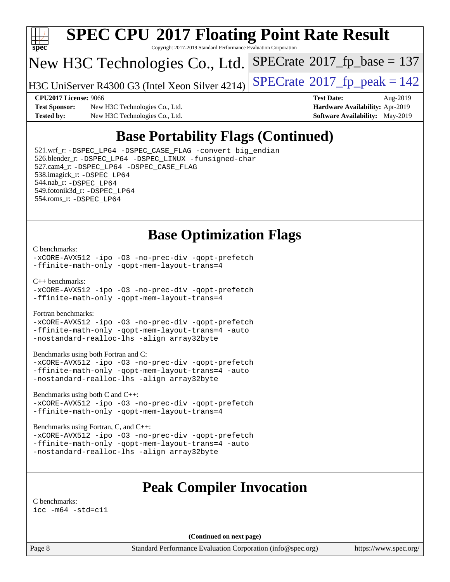

# **[SPEC CPU](http://www.spec.org/auto/cpu2017/Docs/result-fields.html#SPECCPU2017FloatingPointRateResult)[2017 Floating Point Rate Result](http://www.spec.org/auto/cpu2017/Docs/result-fields.html#SPECCPU2017FloatingPointRateResult)**

Copyright 2017-2019 Standard Performance Evaluation Corporation

## New H3C Technologies Co., Ltd.

H3C UniServer R4300 G3 (Intel Xeon Silver 4214) [SPECrate](http://www.spec.org/auto/cpu2017/Docs/result-fields.html#SPECrate2017fppeak)®  $2017$  fp peak = 142

 $SPECTate$ <sup>®</sup>[2017\\_fp\\_base =](http://www.spec.org/auto/cpu2017/Docs/result-fields.html#SPECrate2017fpbase) 137

**[Test Sponsor:](http://www.spec.org/auto/cpu2017/Docs/result-fields.html#TestSponsor)** New H3C Technologies Co., Ltd. **[Hardware Availability:](http://www.spec.org/auto/cpu2017/Docs/result-fields.html#HardwareAvailability)** Apr-2019 **[Tested by:](http://www.spec.org/auto/cpu2017/Docs/result-fields.html#Testedby)** New H3C Technologies Co., Ltd. **[Software Availability:](http://www.spec.org/auto/cpu2017/Docs/result-fields.html#SoftwareAvailability)** May-2019

**[CPU2017 License:](http://www.spec.org/auto/cpu2017/Docs/result-fields.html#CPU2017License)** 9066 **[Test Date:](http://www.spec.org/auto/cpu2017/Docs/result-fields.html#TestDate)** Aug-2019

## **[Base Portability Flags \(Continued\)](http://www.spec.org/auto/cpu2017/Docs/result-fields.html#BasePortabilityFlags)**

 521.wrf\_r: [-DSPEC\\_LP64](http://www.spec.org/cpu2017/results/res2019q3/cpu2017-20190823-17224.flags.html#suite_basePORTABILITY521_wrf_r_DSPEC_LP64) [-DSPEC\\_CASE\\_FLAG](http://www.spec.org/cpu2017/results/res2019q3/cpu2017-20190823-17224.flags.html#b521.wrf_r_baseCPORTABILITY_DSPEC_CASE_FLAG) [-convert big\\_endian](http://www.spec.org/cpu2017/results/res2019q3/cpu2017-20190823-17224.flags.html#user_baseFPORTABILITY521_wrf_r_convert_big_endian_c3194028bc08c63ac5d04de18c48ce6d347e4e562e8892b8bdbdc0214820426deb8554edfa529a3fb25a586e65a3d812c835984020483e7e73212c4d31a38223) 526.blender\_r: [-DSPEC\\_LP64](http://www.spec.org/cpu2017/results/res2019q3/cpu2017-20190823-17224.flags.html#suite_basePORTABILITY526_blender_r_DSPEC_LP64) [-DSPEC\\_LINUX](http://www.spec.org/cpu2017/results/res2019q3/cpu2017-20190823-17224.flags.html#b526.blender_r_baseCPORTABILITY_DSPEC_LINUX) [-funsigned-char](http://www.spec.org/cpu2017/results/res2019q3/cpu2017-20190823-17224.flags.html#user_baseCPORTABILITY526_blender_r_force_uchar_40c60f00ab013830e2dd6774aeded3ff59883ba5a1fc5fc14077f794d777847726e2a5858cbc7672e36e1b067e7e5c1d9a74f7176df07886a243d7cc18edfe67) 527.cam4\_r: [-DSPEC\\_LP64](http://www.spec.org/cpu2017/results/res2019q3/cpu2017-20190823-17224.flags.html#suite_basePORTABILITY527_cam4_r_DSPEC_LP64) [-DSPEC\\_CASE\\_FLAG](http://www.spec.org/cpu2017/results/res2019q3/cpu2017-20190823-17224.flags.html#b527.cam4_r_baseCPORTABILITY_DSPEC_CASE_FLAG) 538.imagick\_r: [-DSPEC\\_LP64](http://www.spec.org/cpu2017/results/res2019q3/cpu2017-20190823-17224.flags.html#suite_basePORTABILITY538_imagick_r_DSPEC_LP64) 544.nab\_r: [-DSPEC\\_LP64](http://www.spec.org/cpu2017/results/res2019q3/cpu2017-20190823-17224.flags.html#suite_basePORTABILITY544_nab_r_DSPEC_LP64) 549.fotonik3d\_r: [-DSPEC\\_LP64](http://www.spec.org/cpu2017/results/res2019q3/cpu2017-20190823-17224.flags.html#suite_basePORTABILITY549_fotonik3d_r_DSPEC_LP64) 554.roms\_r: [-DSPEC\\_LP64](http://www.spec.org/cpu2017/results/res2019q3/cpu2017-20190823-17224.flags.html#suite_basePORTABILITY554_roms_r_DSPEC_LP64)

## **[Base Optimization Flags](http://www.spec.org/auto/cpu2017/Docs/result-fields.html#BaseOptimizationFlags)**

#### [C benchmarks](http://www.spec.org/auto/cpu2017/Docs/result-fields.html#Cbenchmarks):

[-xCORE-AVX512](http://www.spec.org/cpu2017/results/res2019q3/cpu2017-20190823-17224.flags.html#user_CCbase_f-xCORE-AVX512) [-ipo](http://www.spec.org/cpu2017/results/res2019q3/cpu2017-20190823-17224.flags.html#user_CCbase_f-ipo) [-O3](http://www.spec.org/cpu2017/results/res2019q3/cpu2017-20190823-17224.flags.html#user_CCbase_f-O3) [-no-prec-div](http://www.spec.org/cpu2017/results/res2019q3/cpu2017-20190823-17224.flags.html#user_CCbase_f-no-prec-div) [-qopt-prefetch](http://www.spec.org/cpu2017/results/res2019q3/cpu2017-20190823-17224.flags.html#user_CCbase_f-qopt-prefetch) [-ffinite-math-only](http://www.spec.org/cpu2017/results/res2019q3/cpu2017-20190823-17224.flags.html#user_CCbase_f_finite_math_only_cb91587bd2077682c4b38af759c288ed7c732db004271a9512da14a4f8007909a5f1427ecbf1a0fb78ff2a814402c6114ac565ca162485bbcae155b5e4258871) [-qopt-mem-layout-trans=4](http://www.spec.org/cpu2017/results/res2019q3/cpu2017-20190823-17224.flags.html#user_CCbase_f-qopt-mem-layout-trans_fa39e755916c150a61361b7846f310bcdf6f04e385ef281cadf3647acec3f0ae266d1a1d22d972a7087a248fd4e6ca390a3634700869573d231a252c784941a8)

[C++ benchmarks:](http://www.spec.org/auto/cpu2017/Docs/result-fields.html#CXXbenchmarks)

[-xCORE-AVX512](http://www.spec.org/cpu2017/results/res2019q3/cpu2017-20190823-17224.flags.html#user_CXXbase_f-xCORE-AVX512) [-ipo](http://www.spec.org/cpu2017/results/res2019q3/cpu2017-20190823-17224.flags.html#user_CXXbase_f-ipo) [-O3](http://www.spec.org/cpu2017/results/res2019q3/cpu2017-20190823-17224.flags.html#user_CXXbase_f-O3) [-no-prec-div](http://www.spec.org/cpu2017/results/res2019q3/cpu2017-20190823-17224.flags.html#user_CXXbase_f-no-prec-div) [-qopt-prefetch](http://www.spec.org/cpu2017/results/res2019q3/cpu2017-20190823-17224.flags.html#user_CXXbase_f-qopt-prefetch) [-ffinite-math-only](http://www.spec.org/cpu2017/results/res2019q3/cpu2017-20190823-17224.flags.html#user_CXXbase_f_finite_math_only_cb91587bd2077682c4b38af759c288ed7c732db004271a9512da14a4f8007909a5f1427ecbf1a0fb78ff2a814402c6114ac565ca162485bbcae155b5e4258871) [-qopt-mem-layout-trans=4](http://www.spec.org/cpu2017/results/res2019q3/cpu2017-20190823-17224.flags.html#user_CXXbase_f-qopt-mem-layout-trans_fa39e755916c150a61361b7846f310bcdf6f04e385ef281cadf3647acec3f0ae266d1a1d22d972a7087a248fd4e6ca390a3634700869573d231a252c784941a8)

[Fortran benchmarks](http://www.spec.org/auto/cpu2017/Docs/result-fields.html#Fortranbenchmarks):

[-xCORE-AVX512](http://www.spec.org/cpu2017/results/res2019q3/cpu2017-20190823-17224.flags.html#user_FCbase_f-xCORE-AVX512) [-ipo](http://www.spec.org/cpu2017/results/res2019q3/cpu2017-20190823-17224.flags.html#user_FCbase_f-ipo) [-O3](http://www.spec.org/cpu2017/results/res2019q3/cpu2017-20190823-17224.flags.html#user_FCbase_f-O3) [-no-prec-div](http://www.spec.org/cpu2017/results/res2019q3/cpu2017-20190823-17224.flags.html#user_FCbase_f-no-prec-div) [-qopt-prefetch](http://www.spec.org/cpu2017/results/res2019q3/cpu2017-20190823-17224.flags.html#user_FCbase_f-qopt-prefetch) [-ffinite-math-only](http://www.spec.org/cpu2017/results/res2019q3/cpu2017-20190823-17224.flags.html#user_FCbase_f_finite_math_only_cb91587bd2077682c4b38af759c288ed7c732db004271a9512da14a4f8007909a5f1427ecbf1a0fb78ff2a814402c6114ac565ca162485bbcae155b5e4258871) [-qopt-mem-layout-trans=4](http://www.spec.org/cpu2017/results/res2019q3/cpu2017-20190823-17224.flags.html#user_FCbase_f-qopt-mem-layout-trans_fa39e755916c150a61361b7846f310bcdf6f04e385ef281cadf3647acec3f0ae266d1a1d22d972a7087a248fd4e6ca390a3634700869573d231a252c784941a8) [-auto](http://www.spec.org/cpu2017/results/res2019q3/cpu2017-20190823-17224.flags.html#user_FCbase_f-auto) [-nostandard-realloc-lhs](http://www.spec.org/cpu2017/results/res2019q3/cpu2017-20190823-17224.flags.html#user_FCbase_f_2003_std_realloc_82b4557e90729c0f113870c07e44d33d6f5a304b4f63d4c15d2d0f1fab99f5daaed73bdb9275d9ae411527f28b936061aa8b9c8f2d63842963b95c9dd6426b8a) [-align array32byte](http://www.spec.org/cpu2017/results/res2019q3/cpu2017-20190823-17224.flags.html#user_FCbase_align_array32byte_b982fe038af199962ba9a80c053b8342c548c85b40b8e86eb3cc33dee0d7986a4af373ac2d51c3f7cf710a18d62fdce2948f201cd044323541f22fc0fffc51b6)

[Benchmarks using both Fortran and C](http://www.spec.org/auto/cpu2017/Docs/result-fields.html#BenchmarksusingbothFortranandC):

[-xCORE-AVX512](http://www.spec.org/cpu2017/results/res2019q3/cpu2017-20190823-17224.flags.html#user_CC_FCbase_f-xCORE-AVX512) [-ipo](http://www.spec.org/cpu2017/results/res2019q3/cpu2017-20190823-17224.flags.html#user_CC_FCbase_f-ipo) [-O3](http://www.spec.org/cpu2017/results/res2019q3/cpu2017-20190823-17224.flags.html#user_CC_FCbase_f-O3) [-no-prec-div](http://www.spec.org/cpu2017/results/res2019q3/cpu2017-20190823-17224.flags.html#user_CC_FCbase_f-no-prec-div) [-qopt-prefetch](http://www.spec.org/cpu2017/results/res2019q3/cpu2017-20190823-17224.flags.html#user_CC_FCbase_f-qopt-prefetch) [-ffinite-math-only](http://www.spec.org/cpu2017/results/res2019q3/cpu2017-20190823-17224.flags.html#user_CC_FCbase_f_finite_math_only_cb91587bd2077682c4b38af759c288ed7c732db004271a9512da14a4f8007909a5f1427ecbf1a0fb78ff2a814402c6114ac565ca162485bbcae155b5e4258871) [-qopt-mem-layout-trans=4](http://www.spec.org/cpu2017/results/res2019q3/cpu2017-20190823-17224.flags.html#user_CC_FCbase_f-qopt-mem-layout-trans_fa39e755916c150a61361b7846f310bcdf6f04e385ef281cadf3647acec3f0ae266d1a1d22d972a7087a248fd4e6ca390a3634700869573d231a252c784941a8) [-auto](http://www.spec.org/cpu2017/results/res2019q3/cpu2017-20190823-17224.flags.html#user_CC_FCbase_f-auto) [-nostandard-realloc-lhs](http://www.spec.org/cpu2017/results/res2019q3/cpu2017-20190823-17224.flags.html#user_CC_FCbase_f_2003_std_realloc_82b4557e90729c0f113870c07e44d33d6f5a304b4f63d4c15d2d0f1fab99f5daaed73bdb9275d9ae411527f28b936061aa8b9c8f2d63842963b95c9dd6426b8a) [-align array32byte](http://www.spec.org/cpu2017/results/res2019q3/cpu2017-20190823-17224.flags.html#user_CC_FCbase_align_array32byte_b982fe038af199962ba9a80c053b8342c548c85b40b8e86eb3cc33dee0d7986a4af373ac2d51c3f7cf710a18d62fdce2948f201cd044323541f22fc0fffc51b6)

[Benchmarks using both C and C++](http://www.spec.org/auto/cpu2017/Docs/result-fields.html#BenchmarksusingbothCandCXX):

[-xCORE-AVX512](http://www.spec.org/cpu2017/results/res2019q3/cpu2017-20190823-17224.flags.html#user_CC_CXXbase_f-xCORE-AVX512) [-ipo](http://www.spec.org/cpu2017/results/res2019q3/cpu2017-20190823-17224.flags.html#user_CC_CXXbase_f-ipo) [-O3](http://www.spec.org/cpu2017/results/res2019q3/cpu2017-20190823-17224.flags.html#user_CC_CXXbase_f-O3) [-no-prec-div](http://www.spec.org/cpu2017/results/res2019q3/cpu2017-20190823-17224.flags.html#user_CC_CXXbase_f-no-prec-div) [-qopt-prefetch](http://www.spec.org/cpu2017/results/res2019q3/cpu2017-20190823-17224.flags.html#user_CC_CXXbase_f-qopt-prefetch) [-ffinite-math-only](http://www.spec.org/cpu2017/results/res2019q3/cpu2017-20190823-17224.flags.html#user_CC_CXXbase_f_finite_math_only_cb91587bd2077682c4b38af759c288ed7c732db004271a9512da14a4f8007909a5f1427ecbf1a0fb78ff2a814402c6114ac565ca162485bbcae155b5e4258871) [-qopt-mem-layout-trans=4](http://www.spec.org/cpu2017/results/res2019q3/cpu2017-20190823-17224.flags.html#user_CC_CXXbase_f-qopt-mem-layout-trans_fa39e755916c150a61361b7846f310bcdf6f04e385ef281cadf3647acec3f0ae266d1a1d22d972a7087a248fd4e6ca390a3634700869573d231a252c784941a8)

[Benchmarks using Fortran, C, and C++:](http://www.spec.org/auto/cpu2017/Docs/result-fields.html#BenchmarksusingFortranCandCXX)

[-xCORE-AVX512](http://www.spec.org/cpu2017/results/res2019q3/cpu2017-20190823-17224.flags.html#user_CC_CXX_FCbase_f-xCORE-AVX512) [-ipo](http://www.spec.org/cpu2017/results/res2019q3/cpu2017-20190823-17224.flags.html#user_CC_CXX_FCbase_f-ipo) [-O3](http://www.spec.org/cpu2017/results/res2019q3/cpu2017-20190823-17224.flags.html#user_CC_CXX_FCbase_f-O3) [-no-prec-div](http://www.spec.org/cpu2017/results/res2019q3/cpu2017-20190823-17224.flags.html#user_CC_CXX_FCbase_f-no-prec-div) [-qopt-prefetch](http://www.spec.org/cpu2017/results/res2019q3/cpu2017-20190823-17224.flags.html#user_CC_CXX_FCbase_f-qopt-prefetch) [-ffinite-math-only](http://www.spec.org/cpu2017/results/res2019q3/cpu2017-20190823-17224.flags.html#user_CC_CXX_FCbase_f_finite_math_only_cb91587bd2077682c4b38af759c288ed7c732db004271a9512da14a4f8007909a5f1427ecbf1a0fb78ff2a814402c6114ac565ca162485bbcae155b5e4258871) [-qopt-mem-layout-trans=4](http://www.spec.org/cpu2017/results/res2019q3/cpu2017-20190823-17224.flags.html#user_CC_CXX_FCbase_f-qopt-mem-layout-trans_fa39e755916c150a61361b7846f310bcdf6f04e385ef281cadf3647acec3f0ae266d1a1d22d972a7087a248fd4e6ca390a3634700869573d231a252c784941a8) [-auto](http://www.spec.org/cpu2017/results/res2019q3/cpu2017-20190823-17224.flags.html#user_CC_CXX_FCbase_f-auto) [-nostandard-realloc-lhs](http://www.spec.org/cpu2017/results/res2019q3/cpu2017-20190823-17224.flags.html#user_CC_CXX_FCbase_f_2003_std_realloc_82b4557e90729c0f113870c07e44d33d6f5a304b4f63d4c15d2d0f1fab99f5daaed73bdb9275d9ae411527f28b936061aa8b9c8f2d63842963b95c9dd6426b8a) [-align array32byte](http://www.spec.org/cpu2017/results/res2019q3/cpu2017-20190823-17224.flags.html#user_CC_CXX_FCbase_align_array32byte_b982fe038af199962ba9a80c053b8342c548c85b40b8e86eb3cc33dee0d7986a4af373ac2d51c3f7cf710a18d62fdce2948f201cd044323541f22fc0fffc51b6)

## **[Peak Compiler Invocation](http://www.spec.org/auto/cpu2017/Docs/result-fields.html#PeakCompilerInvocation)**

[C benchmarks](http://www.spec.org/auto/cpu2017/Docs/result-fields.html#Cbenchmarks): [icc -m64 -std=c11](http://www.spec.org/cpu2017/results/res2019q3/cpu2017-20190823-17224.flags.html#user_CCpeak_intel_icc_64bit_c11_33ee0cdaae7deeeab2a9725423ba97205ce30f63b9926c2519791662299b76a0318f32ddfffdc46587804de3178b4f9328c46fa7c2b0cd779d7a61945c91cd35)

**(Continued on next page)**

Page 8 Standard Performance Evaluation Corporation [\(info@spec.org\)](mailto:info@spec.org) <https://www.spec.org/>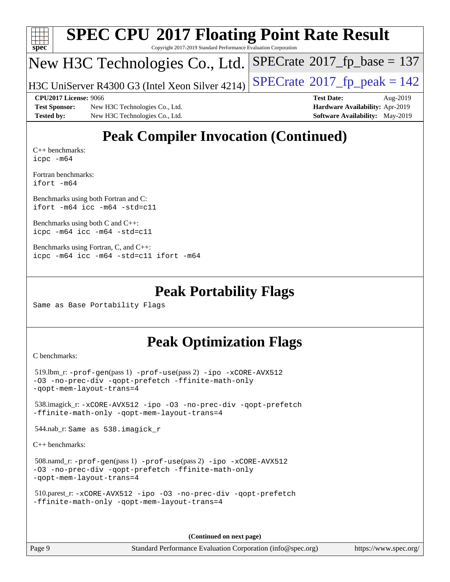|                   |                                                                 | <b>SPEC CPU®2017 Floating Point Rate Result</b> |                                             |  |  |  |  |  |
|-------------------|-----------------------------------------------------------------|-------------------------------------------------|---------------------------------------------|--|--|--|--|--|
| spec              | Copyright 2017-2019 Standard Performance Evaluation Corporation |                                                 |                                             |  |  |  |  |  |
|                   |                                                                 | New H3C Technologies Co., Ltd.                  | $SPECrate^{\circledast}2017_fp\_base = 137$ |  |  |  |  |  |
|                   |                                                                 | H3C UniServer R4300 G3 (Intel Xeon Silver 4214) | $SPECTate@2017_fp\_peak = 142$              |  |  |  |  |  |
|                   | CPU2017 License: 9066                                           |                                                 | <b>Test Date:</b><br>Aug-2019               |  |  |  |  |  |
|                   | <b>Test Sponsor:</b>                                            | New H3C Technologies Co., Ltd.                  | Hardware Availability: Apr-2019             |  |  |  |  |  |
| <b>Tested by:</b> |                                                                 | New H3C Technologies Co., Ltd.                  | <b>Software Availability:</b> May-2019      |  |  |  |  |  |
|                   |                                                                 | <b>Peak Compiler Invocation (Continued)</b>     |                                             |  |  |  |  |  |

[C++ benchmarks:](http://www.spec.org/auto/cpu2017/Docs/result-fields.html#CXXbenchmarks) [icpc -m64](http://www.spec.org/cpu2017/results/res2019q3/cpu2017-20190823-17224.flags.html#user_CXXpeak_intel_icpc_64bit_4ecb2543ae3f1412ef961e0650ca070fec7b7afdcd6ed48761b84423119d1bf6bdf5cad15b44d48e7256388bc77273b966e5eb805aefd121eb22e9299b2ec9d9)

[Fortran benchmarks](http://www.spec.org/auto/cpu2017/Docs/result-fields.html#Fortranbenchmarks): [ifort -m64](http://www.spec.org/cpu2017/results/res2019q3/cpu2017-20190823-17224.flags.html#user_FCpeak_intel_ifort_64bit_24f2bb282fbaeffd6157abe4f878425411749daecae9a33200eee2bee2fe76f3b89351d69a8130dd5949958ce389cf37ff59a95e7a40d588e8d3a57e0c3fd751)

[Benchmarks using both Fortran and C](http://www.spec.org/auto/cpu2017/Docs/result-fields.html#BenchmarksusingbothFortranandC): [ifort -m64](http://www.spec.org/cpu2017/results/res2019q3/cpu2017-20190823-17224.flags.html#user_CC_FCpeak_intel_ifort_64bit_24f2bb282fbaeffd6157abe4f878425411749daecae9a33200eee2bee2fe76f3b89351d69a8130dd5949958ce389cf37ff59a95e7a40d588e8d3a57e0c3fd751) [icc -m64 -std=c11](http://www.spec.org/cpu2017/results/res2019q3/cpu2017-20190823-17224.flags.html#user_CC_FCpeak_intel_icc_64bit_c11_33ee0cdaae7deeeab2a9725423ba97205ce30f63b9926c2519791662299b76a0318f32ddfffdc46587804de3178b4f9328c46fa7c2b0cd779d7a61945c91cd35)

[Benchmarks using both C and C++](http://www.spec.org/auto/cpu2017/Docs/result-fields.html#BenchmarksusingbothCandCXX): [icpc -m64](http://www.spec.org/cpu2017/results/res2019q3/cpu2017-20190823-17224.flags.html#user_CC_CXXpeak_intel_icpc_64bit_4ecb2543ae3f1412ef961e0650ca070fec7b7afdcd6ed48761b84423119d1bf6bdf5cad15b44d48e7256388bc77273b966e5eb805aefd121eb22e9299b2ec9d9) [icc -m64 -std=c11](http://www.spec.org/cpu2017/results/res2019q3/cpu2017-20190823-17224.flags.html#user_CC_CXXpeak_intel_icc_64bit_c11_33ee0cdaae7deeeab2a9725423ba97205ce30f63b9926c2519791662299b76a0318f32ddfffdc46587804de3178b4f9328c46fa7c2b0cd779d7a61945c91cd35)

[Benchmarks using Fortran, C, and C++:](http://www.spec.org/auto/cpu2017/Docs/result-fields.html#BenchmarksusingFortranCandCXX) [icpc -m64](http://www.spec.org/cpu2017/results/res2019q3/cpu2017-20190823-17224.flags.html#user_CC_CXX_FCpeak_intel_icpc_64bit_4ecb2543ae3f1412ef961e0650ca070fec7b7afdcd6ed48761b84423119d1bf6bdf5cad15b44d48e7256388bc77273b966e5eb805aefd121eb22e9299b2ec9d9) [icc -m64 -std=c11](http://www.spec.org/cpu2017/results/res2019q3/cpu2017-20190823-17224.flags.html#user_CC_CXX_FCpeak_intel_icc_64bit_c11_33ee0cdaae7deeeab2a9725423ba97205ce30f63b9926c2519791662299b76a0318f32ddfffdc46587804de3178b4f9328c46fa7c2b0cd779d7a61945c91cd35) [ifort -m64](http://www.spec.org/cpu2017/results/res2019q3/cpu2017-20190823-17224.flags.html#user_CC_CXX_FCpeak_intel_ifort_64bit_24f2bb282fbaeffd6157abe4f878425411749daecae9a33200eee2bee2fe76f3b89351d69a8130dd5949958ce389cf37ff59a95e7a40d588e8d3a57e0c3fd751)

#### **[Peak Portability Flags](http://www.spec.org/auto/cpu2017/Docs/result-fields.html#PeakPortabilityFlags)**

Same as Base Portability Flags

## **[Peak Optimization Flags](http://www.spec.org/auto/cpu2017/Docs/result-fields.html#PeakOptimizationFlags)**

[C benchmarks](http://www.spec.org/auto/cpu2017/Docs/result-fields.html#Cbenchmarks):

```
 519.lbm_r: -prof-gen(pass 1) -prof-use(pass 2) -ipo -xCORE-AVX512
-O3 -no-prec-div -qopt-prefetch -ffinite-math-only
-qopt-mem-layout-trans=4
 538.imagick_r: -xCORE-AVX512 -ipo -O3 -no-prec-div -qopt-prefetch
-ffinite-math-only -qopt-mem-layout-trans=4
 544.nab_r: Same as 538.imagick_r
C++ benchmarks: 
 508.namd_r: -prof-gen(pass 1) -prof-use(pass 2) -ipo -xCORE-AVX512
-O3 -no-prec-div -qopt-prefetch -ffinite-math-only
-qopt-mem-layout-trans=4
 510.parest_r: -xCORE-AVX512 -ipo -O3 -no-prec-div -qopt-prefetch
-ffinite-math-only -qopt-mem-layout-trans=4
```
**(Continued on next page)**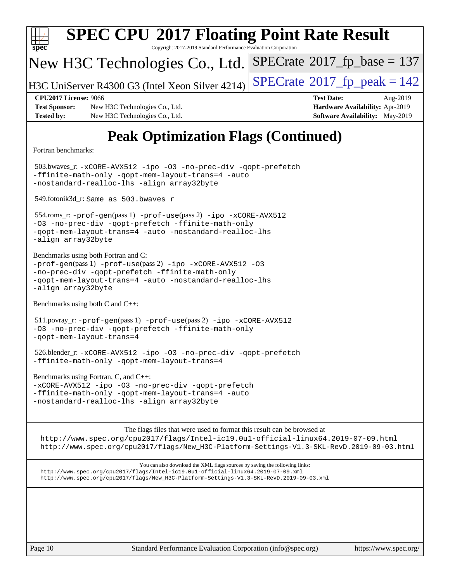| <b>SPEC CPU®2017 Floating Point Rate Result</b><br>spec<br>Copyright 2017-2019 Standard Performance Evaluation Corporation                                                                                                                                 |                                                                                                            |
|------------------------------------------------------------------------------------------------------------------------------------------------------------------------------------------------------------------------------------------------------------|------------------------------------------------------------------------------------------------------------|
| New H3C Technologies Co., Ltd.                                                                                                                                                                                                                             | $SPECrate^{\circ}2017$ _fp_base = 137                                                                      |
| H3C UniServer R4300 G3 (Intel Xeon Silver 4214)                                                                                                                                                                                                            | $SPECTate@2017fr peak = 142$                                                                               |
| <b>CPU2017 License: 9066</b><br><b>Test Sponsor:</b><br>New H3C Technologies Co., Ltd.<br><b>Tested by:</b><br>New H3C Technologies Co., Ltd.                                                                                                              | <b>Test Date:</b><br>Aug-2019<br>Hardware Availability: Apr-2019<br><b>Software Availability:</b> May-2019 |
| <b>Peak Optimization Flags (Continued)</b>                                                                                                                                                                                                                 |                                                                                                            |
| Fortran benchmarks:                                                                                                                                                                                                                                        |                                                                                                            |
| 503.bwaves_r: -xCORE-AVX512 -ipo -03 -no-prec-div -qopt-prefetch<br>-ffinite-math-only -qopt-mem-layout-trans=4 -auto<br>-nostandard-realloc-lhs -align array32byte                                                                                        |                                                                                                            |
| 549.fotonik3d_r: Same as 503.bwaves_r                                                                                                                                                                                                                      |                                                                                                            |
| 554.roms_r: -prof-gen(pass 1) -prof-use(pass 2) -ipo -xCORE-AVX512<br>-03 -no-prec-div -qopt-prefetch -ffinite-math-only<br>-qopt-mem-layout-trans=4 -auto -nostandard-realloc-lhs<br>-align array32byte                                                   |                                                                                                            |
| Benchmarks using both Fortran and C:<br>-prof-gen(pass 1) -prof-use(pass 2) -ipo -xCORE-AVX512 -03<br>-no-prec-div -qopt-prefetch -ffinite-math-only<br>-qopt-mem-layout-trans=4 -auto -nostandard-realloc-lhs<br>-align array32byte                       |                                                                                                            |
| Benchmarks using both $C$ and $C++$ :                                                                                                                                                                                                                      |                                                                                                            |
| $511.$ povray_r: -prof-gen(pass 1) -prof-use(pass 2) -ipo -xCORE-AVX512<br>-03 -no-prec-div -qopt-prefetch -ffinite-math-only<br>-gopt-mem-layout-trans=4                                                                                                  |                                                                                                            |
| 526.blender_r:-xCORE-AVX512 -ipo -03 -no-prec-div -qopt-prefetch<br>-ffinite-math-only -qopt-mem-layout-trans=4                                                                                                                                            |                                                                                                            |
| Benchmarks using Fortran, C, and C++:<br>-xCORE-AVX512 -ipo -03 -no-prec-div -qopt-prefetch<br>-ffinite-math-only -qopt-mem-layout-trans=4 -auto<br>-nostandard-realloc-lhs -align array32byte                                                             |                                                                                                            |
| The flags files that were used to format this result can be browsed at                                                                                                                                                                                     |                                                                                                            |
| http://www.spec.org/cpu2017/flags/Intel-ic19.0ul-official-linux64.2019-07-09.html<br>http://www.spec.org/cpu2017/flags/New_H3C-Platform-Settings-V1.3-SKL-RevD.2019-09-03.html                                                                             |                                                                                                            |
| You can also download the XML flags sources by saving the following links:<br>http://www.spec.org/cpu2017/flags/Intel-ic19.0ul-official-linux64.2019-07-09.xml<br>http://www.spec.org/cpu2017/flags/New_H3C-Platform-Settings-V1.3-SKL-RevD.2019-09-03.xml |                                                                                                            |